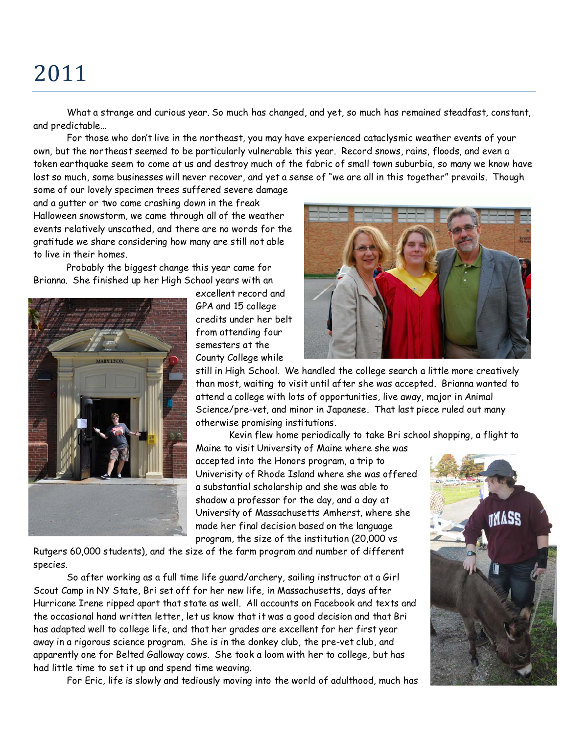## 2011

What a strange and curious year. So much has changed, and yet, so much has remained steadfast, constant, and predictable…

For those who don't live in the northeast, you may have experienced cataclysmic weather events of your own, but the northeast seemed to be particularly vulnerable this year. Record snows, rains, floods, and even a token earthquake seem to come at us and destroy much of the fabric of small town suburbia, so many we know have lost so much, some businesses will never recover, and yet a sense of "we are all in this together" prevails. Though

some of our lovely specimen trees suffered severe damage and a gutter or two came crashing down in the freak Halloween snowstorm, we came through all of the weather events relatively unscathed, and there are no words for the gratitude we share considering how many are still not able to live in their homes.

Probably the biggest change this year came for Brianna. She finished up her High School years with an



excellent record and GPA and 15 college credits under her belt from attending four semesters at the County College while



still in High School. We handled the college search a little more creatively than most, waiting to visit until after she was accepted. Brianna wanted to attend a college with lots of opportunities, live away, major in Animal Science/pre-vet, and minor in Japanese. That last piece ruled out many otherwise promising institutions.

Kevin flew home periodically to take Bri school shopping, a flight to

Maine to visit University of Maine where she was accepted into the Honors program, a trip to Univerisity of Rhode Island where she was offered a substantial scholarship and she was able to shadow a professor for the day, and a day at University of Massachusetts Amherst, where she made her final decision based on the language program, the size of the institution (20,000 vs

Rutgers 60,000 students), and the size of the farm program and number of different species.

So after working as a full time life guard/archery, sailing instructor at a Girl Scout Camp in NY State, Bri set off for her new life, in Massachusetts, days after Hurricane Irene ripped apart that state as well. All accounts on Facebook and texts and the occasional hand written letter, let us know that it was a good decision and that Bri has adapted well to college life, and that her grades are excellent for her first year away in a rigorous science program. She is in the donkey club, the pre-vet club, and apparently one for Belted Galloway cows. She took a loom with her to college, but has had little time to set it up and spend time weaving.

For Eric, life is slowly and tediously moving into the world of adulthood, much has

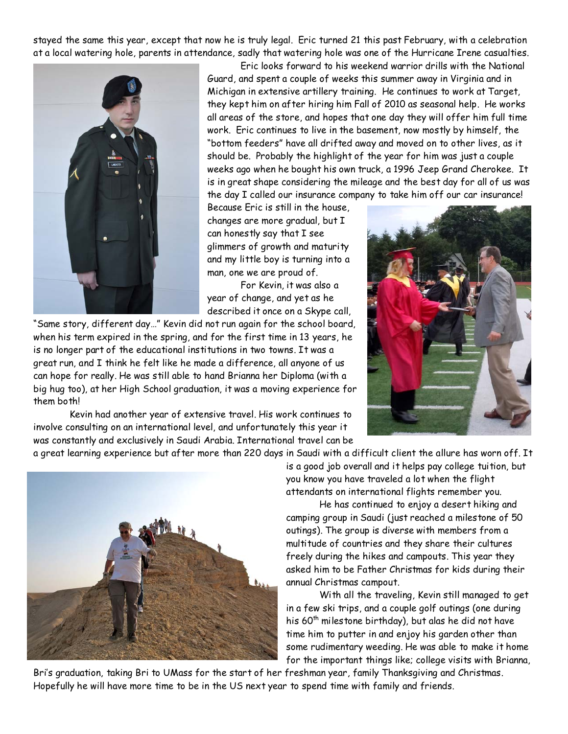stayed the same this year, except that now he is truly legal. Eric turned 21 this past February, with a celebration at a local watering hole, parents in attendance, sadly that watering hole was one of the Hurricane Irene casualties.



Eric looks forward to his weekend warrior drills with the National Guard, and spent a couple of weeks this summer away in Virginia and in Michigan in extensive artillery training. He continues to work at Target, they kept him on after hiring him Fall of 2010 as seasonal help. He works all areas of the store, and hopes that one day they will offer him full time work. Eric continues to live in the basement, now mostly by himself, the "bottom feeders" have all drifted away and moved on to other lives, as it should be. Probably the highlight of the year for him was just a couple weeks ago when he bought his own truck, a 1996 Jeep Grand Cherokee. It is in great shape considering the mileage and the best day for all of us was the day I called our insurance company to take him off our car insurance!

Because Eric is still in the house, changes are more gradual, but I can honestly say that I see glimmers of growth and maturity and my little boy is turning into a man, one we are proud of.

For Kevin, it was also a year of change, and yet as he described it once on a Skype call,

"Same story, different day…" Kevin did not run again for the school board, when his term expired in the spring, and for the first time in 13 years, he is no longer part of the educational institutions in two towns. It was a great run, and I think he felt like he made a difference, all anyone of us can hope for really. He was still able to hand Brianna her Diploma (with a big hug too), at her High School graduation, it was a moving experience for them both!

 Kevin had another year of extensive travel. His work continues to involve consulting on an international level, and unfortunately this year it was constantly and exclusively in Saudi Arabia. International travel can be



a great learning experience but after more than 220 days in Saudi with a difficult client the allure has worn off. It is a good job overall and it helps pay college tuition, but you know you have traveled a lot when the flight attendants on international flights remember you.

He has continued to enjoy a desert hiking and camping group in Saudi (just reached a milestone of 50 outings). The group is diverse with members from a multitude of countries and they share their cultures freely during the hikes and campouts. This year they asked him to be Father Christmas for kids during their annual Christmas campout.

With all the traveling, Kevin still managed to get in a few ski trips, and a couple golf outings (one during his  $60<sup>th</sup>$  milestone birthday), but alas he did not have time him to putter in and enjoy his garden other than some rudimentary weeding. He was able to make it home for the important things like; college visits with Brianna,

Bri's graduation, taking Bri to UMass for the start of her freshman year, family Thanksgiving and Christmas. Hopefully he will have more time to be in the US next year to spend time with family and friends.